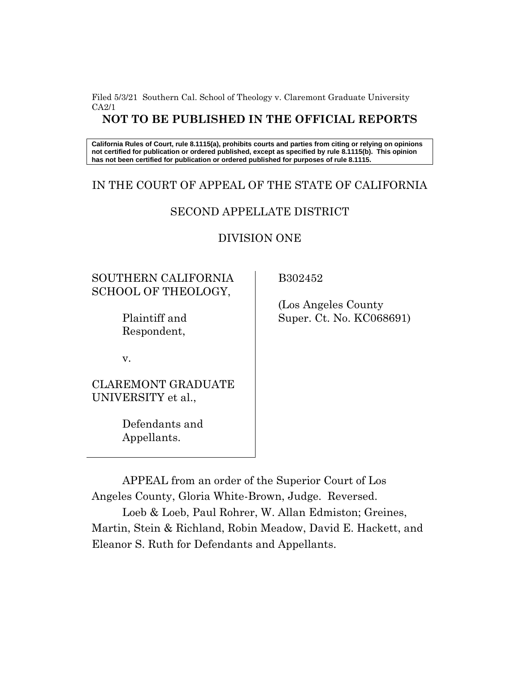Filed 5/3/21 Southern Cal. School of Theology v. Claremont Graduate University CA2/1

### **NOT TO BE PUBLISHED IN THE OFFICIAL REPORTS**

**California Rules of Court, rule 8.1115(a), prohibits courts and parties from citing or relying on opinions not certified for publication or ordered published, except as specified by rule 8.1115(b). This opinion has not been certified for publication or ordered published for purposes of rule 8.1115.**

#### IN THE COURT OF APPEAL OF THE STATE OF CALIFORNIA

## SECOND APPELLATE DISTRICT

#### DIVISION ONE

# SOUTHERN CALIFORNIA SCHOOL OF THEOLOGY,

Plaintiff and Respondent,

v.

CLAREMONT GRADUATE UNIVERSITY et al.,

> Defendants and Appellants.

B302452

 (Los Angeles County Super. Ct. No. KC068691)

APPEAL from an order of the Superior Court of Los Angeles County, Gloria White-Brown, Judge. Reversed.

Loeb & Loeb, Paul Rohrer, W. Allan Edmiston; Greines, Martin, Stein & Richland, Robin Meadow, David E. Hackett, and Eleanor S. Ruth for Defendants and Appellants.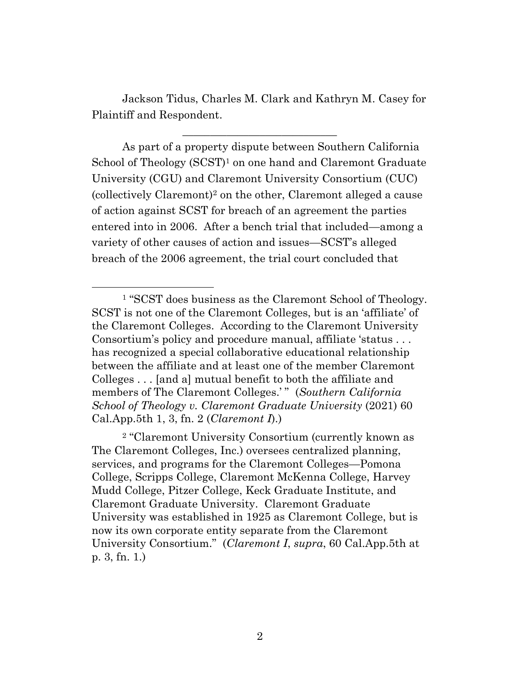Jackson Tidus, Charles M. Clark and Kathryn M. Casey for Plaintiff and Respondent.

\_\_\_\_\_\_\_\_\_\_\_\_\_\_\_\_\_\_\_\_\_\_\_\_\_\_\_\_

As part of a property dispute between Southern California School of Theology (SCST)<sup>1</sup> on one hand and Claremont Graduate University (CGU) and Claremont University Consortium (CUC) (collectively Claremont)<sup>2</sup> on the other, Claremont alleged a cause of action against SCST for breach of an agreement the parties entered into in 2006. After a bench trial that included—among a variety of other causes of action and issues—SCST's alleged breach of the 2006 agreement, the trial court concluded that

<sup>2</sup> "Claremont University Consortium (currently known as The Claremont Colleges, Inc.) oversees centralized planning, services, and programs for the Claremont Colleges—Pomona College, Scripps College, Claremont McKenna College, Harvey Mudd College, Pitzer College, Keck Graduate Institute, and Claremont Graduate University. Claremont Graduate University was established in 1925 as Claremont College, but is now its own corporate entity separate from the Claremont University Consortium." (*Claremont I*, *supra*, 60 Cal.App.5th at p. 3, fn. 1.)

<sup>1</sup> "SCST does business as the Claremont School of Theology. SCST is not one of the Claremont Colleges, but is an 'affiliate' of the Claremont Colleges. According to the Claremont University Consortium's policy and procedure manual, affiliate 'status . . . has recognized a special collaborative educational relationship between the affiliate and at least one of the member Claremont Colleges . . . [and a] mutual benefit to both the affiliate and members of The Claremont Colleges.'" (*Southern California*) *School of Theology v. Claremont Graduate University* (2021) 60 Cal.App.5th 1, 3, fn. 2 (*Claremont I*).)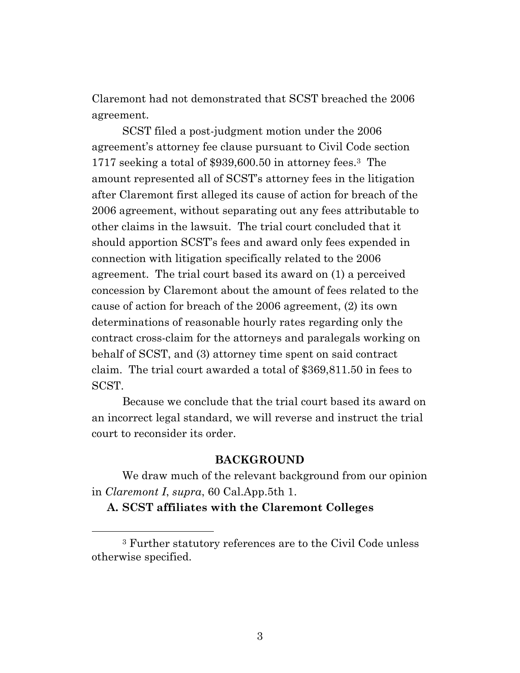Claremont had not demonstrated that SCST breached the 2006 agreement.

SCST filed a post-judgment motion under the 2006 agreement's attorney fee clause pursuant to Civil Code section 1717 seeking a total of \$939,600.50 in attorney fees. <sup>3</sup> The amount represented all of SCST's attorney fees in the litigation after Claremont first alleged its cause of action for breach of the 2006 agreement, without separating out any fees attributable to other claims in the lawsuit. The trial court concluded that it should apportion SCST's fees and award only fees expended in connection with litigation specifically related to the 2006 agreement. The trial court based its award on (1) a perceived concession by Claremont about the amount of fees related to the cause of action for breach of the 2006 agreement, (2) its own determinations of reasonable hourly rates regarding only the contract cross-claim for the attorneys and paralegals working on behalf of SCST, and (3) attorney time spent on said contract claim. The trial court awarded a total of \$369,811.50 in fees to SCST.

Because we conclude that the trial court based its award on an incorrect legal standard, we will reverse and instruct the trial court to reconsider its order.

## **BACKGROUND**

We draw much of the relevant background from our opinion in *Claremont I*, *supra*, 60 Cal.App.5th 1.

**A. SCST affiliates with the Claremont Colleges**

<sup>3</sup> Further statutory references are to the Civil Code unless otherwise specified.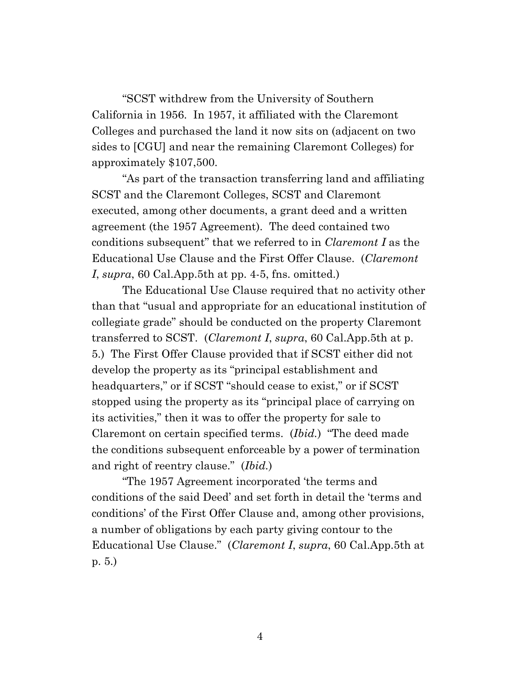"SCST withdrew from the University of Southern California in 1956. In 1957, it affiliated with the Claremont Colleges and purchased the land it now sits on (adjacent on two sides to [CGU] and near the remaining Claremont Colleges) for approximately \$107,500.

"As part of the transaction transferring land and affiliating SCST and the Claremont Colleges, SCST and Claremont executed, among other documents, a grant deed and a written agreement (the 1957 Agreement). The deed contained two conditions subsequent" that we referred to in *Claremont I* as the Educational Use Clause and the First Offer Clause. (*Claremont I*, *supra*, 60 Cal.App.5th at pp. 4-5, fns. omitted.)

The Educational Use Clause required that no activity other than that "usual and appropriate for an educational institution of collegiate grade" should be conducted on the property Claremont transferred to SCST. (*Claremont I*, *supra*, 60 Cal.App.5th at p. 5.) The First Offer Clause provided that if SCST either did not develop the property as its "principal establishment and headquarters," or if SCST "should cease to exist," or if SCST stopped using the property as its "principal place of carrying on its activities," then it was to offer the property for sale to Claremont on certain specified terms. (*Ibid.*) "The deed made the conditions subsequent enforceable by a power of termination and right of reentry clause." (*Ibid.*)

"The 1957 Agreement incorporated 'the terms and conditions of the said Deed' and set forth in detail the 'terms and conditions' of the First Offer Clause and, among other provisions, a number of obligations by each party giving contour to the Educational Use Clause." (*Claremont I*, *supra*, 60 Cal.App.5th at p. 5.)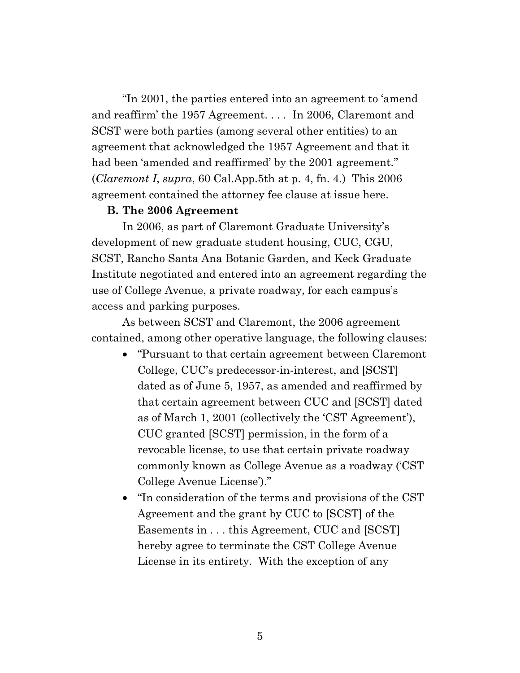"In 2001, the parties entered into an agreement to 'amend and reaffirm' the 1957 Agreement. . . . In 2006, Claremont and SCST were both parties (among several other entities) to an agreement that acknowledged the 1957 Agreement and that it had been 'amended and reaffirmed' by the 2001 agreement." (*Claremont I*, *supra*, 60 Cal.App.5th at p. 4, fn. 4.) This 2006 agreement contained the attorney fee clause at issue here.

#### **B. The 2006 Agreement**

In 2006, as part of Claremont Graduate University's development of new graduate student housing, CUC, CGU, SCST, Rancho Santa Ana Botanic Garden, and Keck Graduate Institute negotiated and entered into an agreement regarding the use of College Avenue, a private roadway, for each campus's access and parking purposes.

As between SCST and Claremont, the 2006 agreement contained, among other operative language, the following clauses:

- "Pursuant to that certain agreement between Claremont College, CUC's predecessor-in-interest, and [SCST] dated as of June 5, 1957, as amended and reaffirmed by that certain agreement between CUC and [SCST] dated as of March 1, 2001 (collectively the 'CST Agreement'), CUC granted [SCST] permission, in the form of a revocable license, to use that certain private roadway commonly known as College Avenue as a roadway ('CST College Avenue License')."
- "In consideration of the terms and provisions of the CST Agreement and the grant by CUC to [SCST] of the Easements in . . . this Agreement, CUC and [SCST] hereby agree to terminate the CST College Avenue License in its entirety. With the exception of any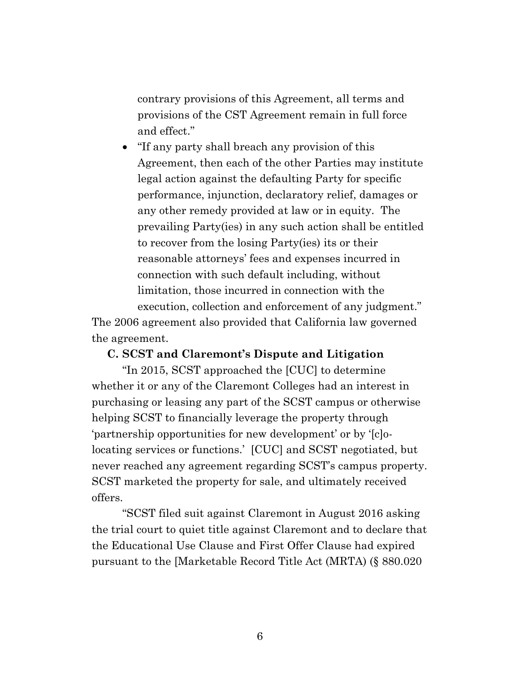contrary provisions of this Agreement, all terms and provisions of the CST Agreement remain in full force and effect."

• "If any party shall breach any provision of this Agreement, then each of the other Parties may institute legal action against the defaulting Party for specific performance, injunction, declaratory relief, damages or any other remedy provided at law or in equity. The prevailing Party(ies) in any such action shall be entitled to recover from the losing Party(ies) its or their reasonable attorneys' fees and expenses incurred in connection with such default including, without limitation, those incurred in connection with the execution, collection and enforcement of any judgment."

The 2006 agreement also provided that California law governed the agreement.

#### **C. SCST and Claremont's Dispute and Litigation**

"In 2015, SCST approached the [CUC] to determine whether it or any of the Claremont Colleges had an interest in purchasing or leasing any part of the SCST campus or otherwise helping SCST to financially leverage the property through 'partnership opportunities for new development' or by '[c]olocating services or functions.' [CUC] and SCST negotiated, but never reached any agreement regarding SCST's campus property. SCST marketed the property for sale, and ultimately received offers.

"SCST filed suit against Claremont in August 2016 asking the trial court to quiet title against Claremont and to declare that the Educational Use Clause and First Offer Clause had expired pursuant to the [Marketable Record Title Act (MRTA) (§ 880.020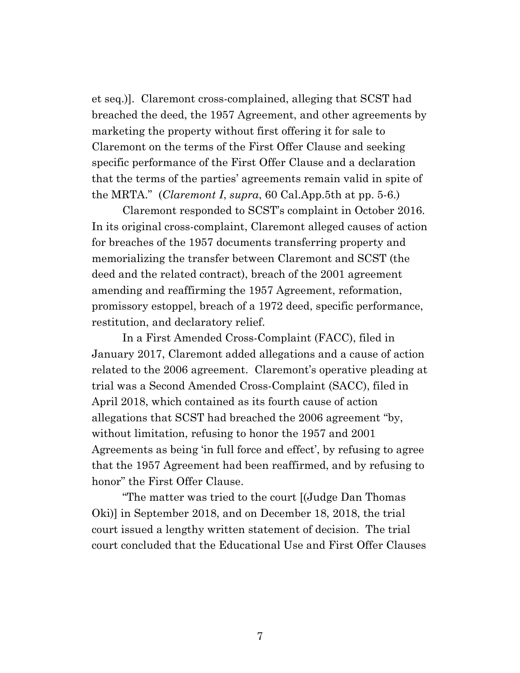et seq.)]. Claremont cross-complained, alleging that SCST had breached the deed, the 1957 Agreement, and other agreements by marketing the property without first offering it for sale to Claremont on the terms of the First Offer Clause and seeking specific performance of the First Offer Clause and a declaration that the terms of the parties' agreements remain valid in spite of the MRTA." (*Claremont I*, *supra*, 60 Cal.App.5th at pp. 5-6.)

Claremont responded to SCST's complaint in October 2016. In its original cross-complaint, Claremont alleged causes of action for breaches of the 1957 documents transferring property and memorializing the transfer between Claremont and SCST (the deed and the related contract), breach of the 2001 agreement amending and reaffirming the 1957 Agreement, reformation, promissory estoppel, breach of a 1972 deed, specific performance, restitution, and declaratory relief.

In a First Amended Cross-Complaint (FACC), filed in January 2017, Claremont added allegations and a cause of action related to the 2006 agreement. Claremont's operative pleading at trial was a Second Amended Cross-Complaint (SACC), filed in April 2018, which contained as its fourth cause of action allegations that SCST had breached the 2006 agreement "by, without limitation, refusing to honor the 1957 and 2001 Agreements as being 'in full force and effect', by refusing to agree that the 1957 Agreement had been reaffirmed, and by refusing to honor" the First Offer Clause.

"The matter was tried to the court [(Judge Dan Thomas Oki)] in September 2018, and on December 18, 2018, the trial court issued a lengthy written statement of decision. The trial court concluded that the Educational Use and First Offer Clauses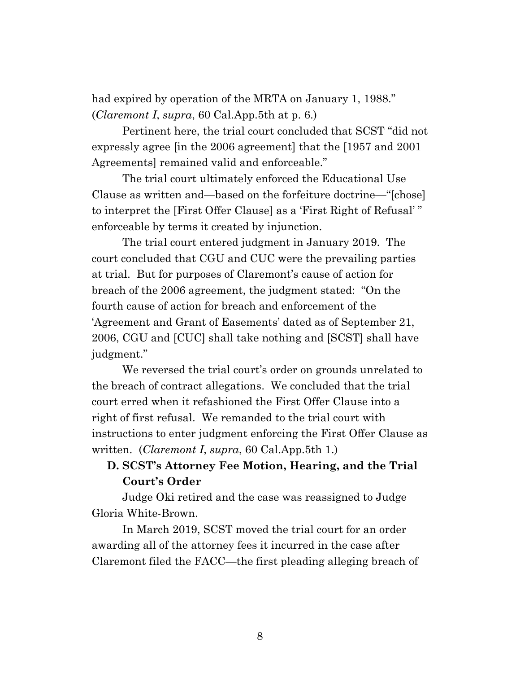had expired by operation of the MRTA on January 1, 1988." (*Claremont I*, *supra*, 60 Cal.App.5th at p. 6.)

Pertinent here, the trial court concluded that SCST "did not expressly agree [in the 2006 agreement] that the [1957 and 2001 Agreements] remained valid and enforceable."

The trial court ultimately enforced the Educational Use Clause as written and—based on the forfeiture doctrine—"[chose] to interpret the [First Offer Clause] as a 'First Right of Refusal' " enforceable by terms it created by injunction.

The trial court entered judgment in January 2019. The court concluded that CGU and CUC were the prevailing parties at trial. But for purposes of Claremont's cause of action for breach of the 2006 agreement, the judgment stated: "On the fourth cause of action for breach and enforcement of the 'Agreement and Grant of Easements' dated as of September 21, 2006, CGU and [CUC] shall take nothing and [SCST] shall have judgment."

We reversed the trial court's order on grounds unrelated to the breach of contract allegations. We concluded that the trial court erred when it refashioned the First Offer Clause into a right of first refusal. We remanded to the trial court with instructions to enter judgment enforcing the First Offer Clause as written. (*Claremont I*, *supra*, 60 Cal.App.5th 1.)

# **D. SCST's Attorney Fee Motion, Hearing, and the Trial Court's Order**

Judge Oki retired and the case was reassigned to Judge Gloria White-Brown.

In March 2019, SCST moved the trial court for an order awarding all of the attorney fees it incurred in the case after Claremont filed the FACC—the first pleading alleging breach of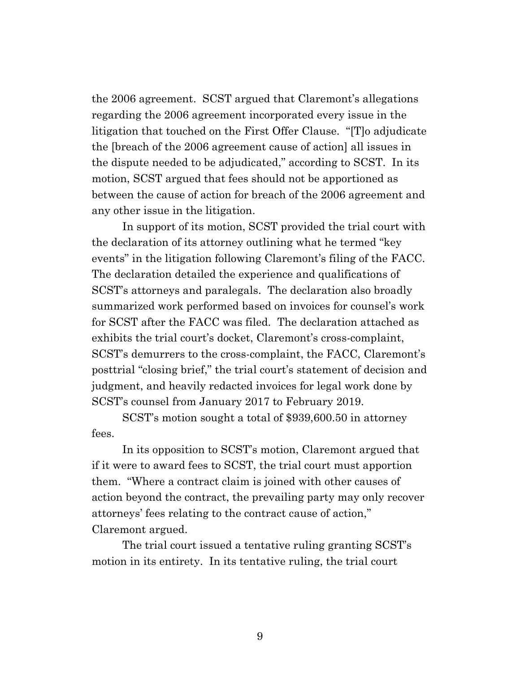the 2006 agreement. SCST argued that Claremont's allegations regarding the 2006 agreement incorporated every issue in the litigation that touched on the First Offer Clause. "[T]o adjudicate the [breach of the 2006 agreement cause of action] all issues in the dispute needed to be adjudicated," according to SCST. In its motion, SCST argued that fees should not be apportioned as between the cause of action for breach of the 2006 agreement and any other issue in the litigation.

In support of its motion, SCST provided the trial court with the declaration of its attorney outlining what he termed "key events" in the litigation following Claremont's filing of the FACC. The declaration detailed the experience and qualifications of SCST's attorneys and paralegals. The declaration also broadly summarized work performed based on invoices for counsel's work for SCST after the FACC was filed. The declaration attached as exhibits the trial court's docket, Claremont's cross-complaint, SCST's demurrers to the cross-complaint, the FACC, Claremont's posttrial "closing brief," the trial court's statement of decision and judgment, and heavily redacted invoices for legal work done by SCST's counsel from January 2017 to February 2019.

SCST's motion sought a total of \$939,600.50 in attorney fees.

In its opposition to SCST's motion, Claremont argued that if it were to award fees to SCST, the trial court must apportion them. "Where a contract claim is joined with other causes of action beyond the contract, the prevailing party may only recover attorneys' fees relating to the contract cause of action," Claremont argued.

The trial court issued a tentative ruling granting SCST's motion in its entirety. In its tentative ruling, the trial court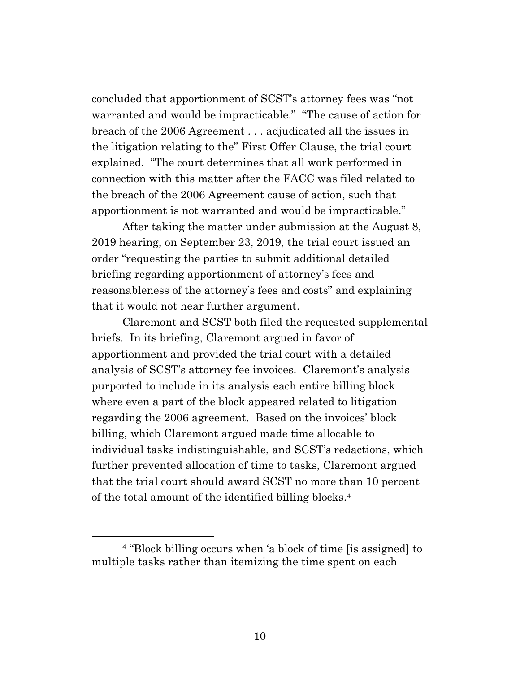concluded that apportionment of SCST's attorney fees was "not warranted and would be impracticable." "The cause of action for breach of the 2006 Agreement . . . adjudicated all the issues in the litigation relating to the" First Offer Clause, the trial court explained. "The court determines that all work performed in connection with this matter after the FACC was filed related to the breach of the 2006 Agreement cause of action, such that apportionment is not warranted and would be impracticable."

After taking the matter under submission at the August 8, 2019 hearing, on September 23, 2019, the trial court issued an order "requesting the parties to submit additional detailed briefing regarding apportionment of attorney's fees and reasonableness of the attorney's fees and costs" and explaining that it would not hear further argument.

Claremont and SCST both filed the requested supplemental briefs. In its briefing, Claremont argued in favor of apportionment and provided the trial court with a detailed analysis of SCST's attorney fee invoices. Claremont's analysis purported to include in its analysis each entire billing block where even a part of the block appeared related to litigation regarding the 2006 agreement. Based on the invoices' block billing, which Claremont argued made time allocable to individual tasks indistinguishable, and SCST's redactions, which further prevented allocation of time to tasks, Claremont argued that the trial court should award SCST no more than 10 percent of the total amount of the identified billing blocks.<sup>4</sup>

<sup>4</sup> "Block billing occurs when 'a block of time [is assigned] to multiple tasks rather than itemizing the time spent on each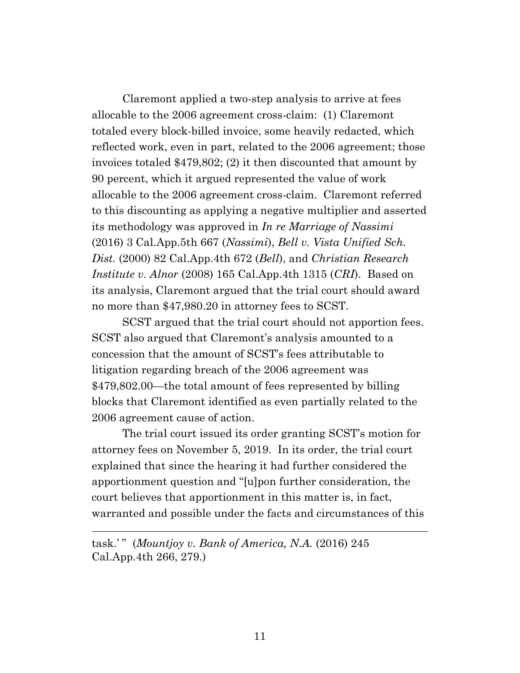Claremont applied a two-step analysis to arrive at fees allocable to the 2006 agreement cross-claim: (1) Claremont totaled every block-billed invoice, some heavily redacted, which reflected work, even in part, related to the 2006 agreement; those invoices totaled \$479,802; (2) it then discounted that amount by 90 percent, which it argued represented the value of work allocable to the 2006 agreement cross-claim. Claremont referred to this discounting as applying a negative multiplier and asserted its methodology was approved in *In re Marriage of Nassimi* (2016) 3 Cal.App.5th 667 (*Nassimi*), *Bell v. Vista Unified Sch. Dist.* (2000) 82 Cal.App.4th 672 (*Bell*), and *Christian Research Institute v. Alnor* (2008) 165 Cal.App.4th 1315 (*CRI*). Based on its analysis, Claremont argued that the trial court should award no more than \$47,980.20 in attorney fees to SCST.

SCST argued that the trial court should not apportion fees. SCST also argued that Claremont's analysis amounted to a concession that the amount of SCST's fees attributable to litigation regarding breach of the 2006 agreement was \$479,802.00—the total amount of fees represented by billing blocks that Claremont identified as even partially related to the 2006 agreement cause of action.

The trial court issued its order granting SCST's motion for attorney fees on November 5, 2019. In its order, the trial court explained that since the hearing it had further considered the apportionment question and "[u]pon further consideration, the court believes that apportionment in this matter is, in fact, warranted and possible under the facts and circumstances of this

task.' " (*Mountjoy v. Bank of America, N.A.* (2016) 245 Cal.App.4th 266, 279.)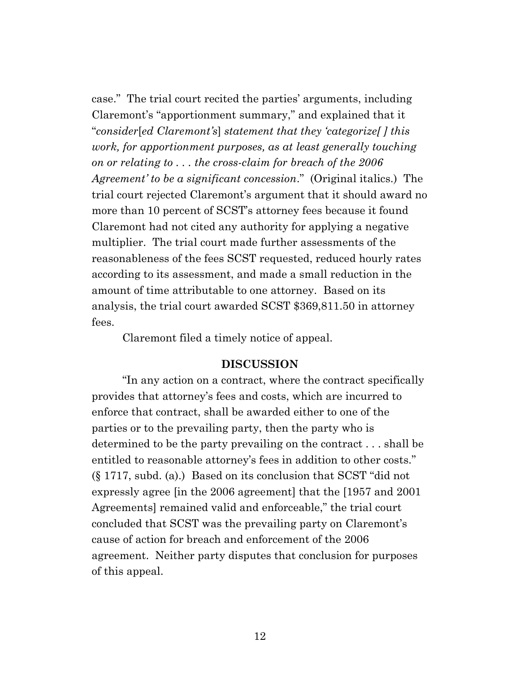case." The trial court recited the parties' arguments, including Claremont's "apportionment summary," and explained that it "*consider*[*ed Claremont's*] *statement that they 'categorize[ ] this work, for apportionment purposes, as at least generally touching on or relating to . . . the cross-claim for breach of the 2006 Agreement' to be a significant concession*." (Original italics.) The trial court rejected Claremont's argument that it should award no more than 10 percent of SCST's attorney fees because it found Claremont had not cited any authority for applying a negative multiplier. The trial court made further assessments of the reasonableness of the fees SCST requested, reduced hourly rates according to its assessment, and made a small reduction in the amount of time attributable to one attorney. Based on its analysis, the trial court awarded SCST \$369,811.50 in attorney fees.

Claremont filed a timely notice of appeal.

#### **DISCUSSION**

"In any action on a contract, where the contract specifically provides that attorney's fees and costs, which are incurred to enforce that contract, shall be awarded either to one of the parties or to the prevailing party, then the party who is determined to be the party prevailing on the contract . . . shall be entitled to reasonable attorney's fees in addition to other costs." (§ 1717, subd. (a).) Based on its conclusion that SCST "did not expressly agree [in the 2006 agreement] that the [1957 and 2001 Agreements] remained valid and enforceable," the trial court concluded that SCST was the prevailing party on Claremont's cause of action for breach and enforcement of the 2006 agreement. Neither party disputes that conclusion for purposes of this appeal.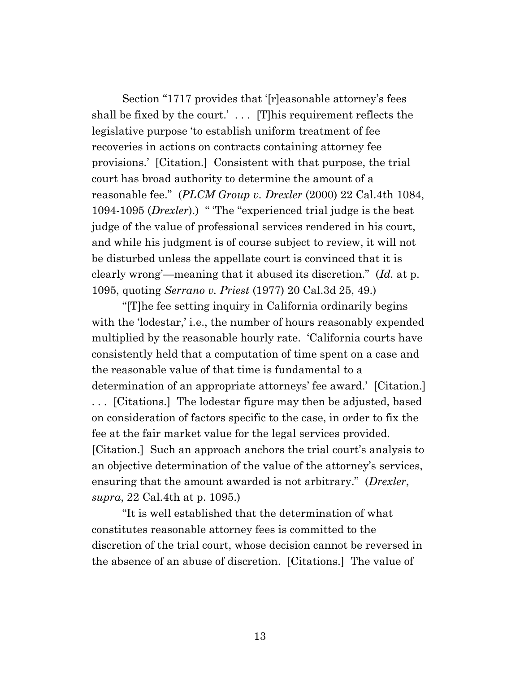Section "1717 provides that '[r]easonable attorney's fees shall be fixed by the court.' . . . [T]his requirement reflects the legislative purpose 'to establish uniform treatment of fee recoveries in actions on contracts containing attorney fee provisions.' [Citation.] Consistent with that purpose, the trial court has broad authority to determine the amount of a reasonable fee." (*PLCM Group v. Drexler* (2000) 22 Cal.4th 1084, 1094-1095 (*Drexler*).) " 'The "experienced trial judge is the best judge of the value of professional services rendered in his court, and while his judgment is of course subject to review, it will not be disturbed unless the appellate court is convinced that it is clearly wrong'—meaning that it abused its discretion." (*Id.* at p. 1095, quoting *Serrano v. Priest* (1977) 20 Cal.3d 25, 49.)

"[T]he fee setting inquiry in California ordinarily begins with the 'lodestar,' i.e., the number of hours reasonably expended multiplied by the reasonable hourly rate. 'California courts have consistently held that a computation of time spent on a case and the reasonable value of that time is fundamental to a determination of an appropriate attorneys' fee award.' [Citation.] . . . [Citations.] The lodestar figure may then be adjusted, based on consideration of factors specific to the case, in order to fix the fee at the fair market value for the legal services provided. [Citation.] Such an approach anchors the trial court's analysis to an objective determination of the value of the attorney's services, ensuring that the amount awarded is not arbitrary." (*Drexler*, *supra*, 22 Cal.4th at p. 1095.)

"It is well established that the determination of what constitutes reasonable attorney fees is committed to the discretion of the trial court, whose decision cannot be reversed in the absence of an abuse of discretion. [Citations.] The value of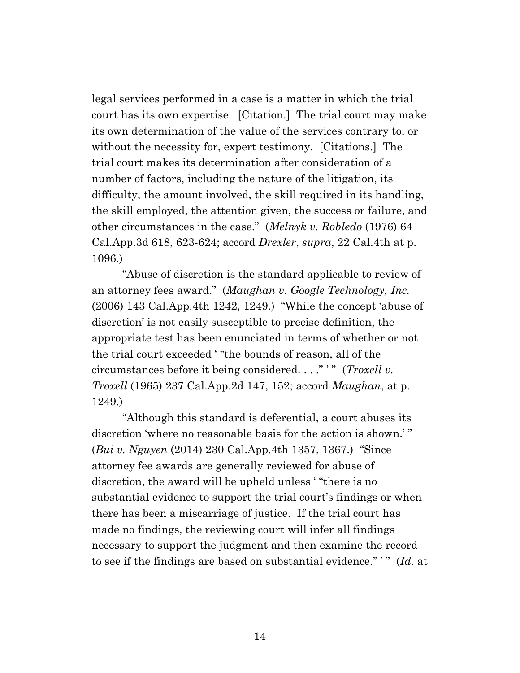legal services performed in a case is a matter in which the trial court has its own expertise. [Citation.] The trial court may make its own determination of the value of the services contrary to, or without the necessity for, expert testimony. [Citations.] The trial court makes its determination after consideration of a number of factors, including the nature of the litigation, its difficulty, the amount involved, the skill required in its handling, the skill employed, the attention given, the success or failure, and other circumstances in the case." (*Melnyk v. Robledo* (1976) 64 Cal.App.3d 618, 623-624; accord *Drexler*, *supra*, 22 Cal.4th at p. 1096.)

"Abuse of discretion is the standard applicable to review of an attorney fees award." (*Maughan v. Google Technology, Inc.* (2006) 143 Cal.App.4th 1242, 1249.) "While the concept 'abuse of discretion' is not easily susceptible to precise definition, the appropriate test has been enunciated in terms of whether or not the trial court exceeded ' "the bounds of reason, all of the circumstances before it being considered. . . ." ' " (*Troxell v. Troxell* (1965) 237 Cal.App.2d 147, 152; accord *Maughan*, at p. 1249.)

"Although this standard is deferential, a court abuses its discretion 'where no reasonable basis for the action is shown.' " (*Bui v. Nguyen* (2014) 230 Cal.App.4th 1357, 1367.) "Since attorney fee awards are generally reviewed for abuse of discretion, the award will be upheld unless ' "there is no substantial evidence to support the trial court's findings or when there has been a miscarriage of justice. If the trial court has made no findings, the reviewing court will infer all findings necessary to support the judgment and then examine the record to see if the findings are based on substantial evidence." ' " (*Id.* at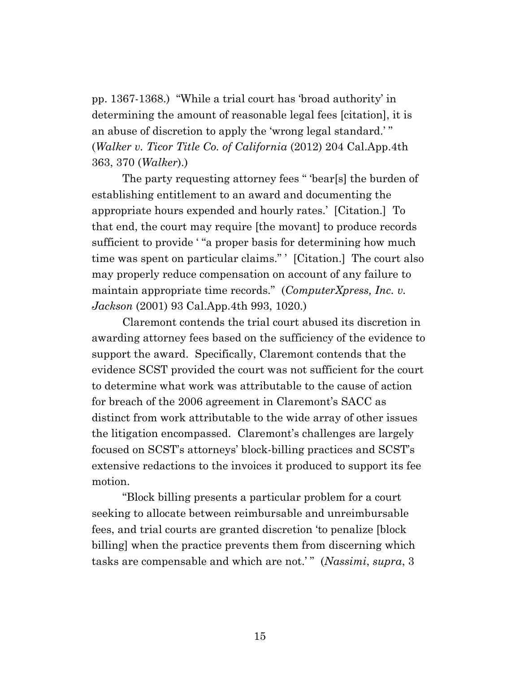pp. 1367-1368.) "While a trial court has 'broad authority' in determining the amount of reasonable legal fees [citation], it is an abuse of discretion to apply the 'wrong legal standard.' " (*Walker v. Ticor Title Co. of California* (2012) 204 Cal.App.4th 363, 370 (*Walker*).)

The party requesting attorney fees " 'bear[s] the burden of establishing entitlement to an award and documenting the appropriate hours expended and hourly rates.' [Citation.] To that end, the court may require [the movant] to produce records sufficient to provide "a proper basis for determining how much time was spent on particular claims." ' [Citation.] The court also may properly reduce compensation on account of any failure to maintain appropriate time records." (*ComputerXpress, Inc. v. Jackson* (2001) 93 Cal.App.4th 993, 1020.)

Claremont contends the trial court abused its discretion in awarding attorney fees based on the sufficiency of the evidence to support the award. Specifically, Claremont contends that the evidence SCST provided the court was not sufficient for the court to determine what work was attributable to the cause of action for breach of the 2006 agreement in Claremont's SACC as distinct from work attributable to the wide array of other issues the litigation encompassed. Claremont's challenges are largely focused on SCST's attorneys' block-billing practices and SCST's extensive redactions to the invoices it produced to support its fee motion.

"Block billing presents a particular problem for a court seeking to allocate between reimbursable and unreimbursable fees, and trial courts are granted discretion 'to penalize [block billing] when the practice prevents them from discerning which tasks are compensable and which are not.' " (*Nassimi*, *supra*, 3

15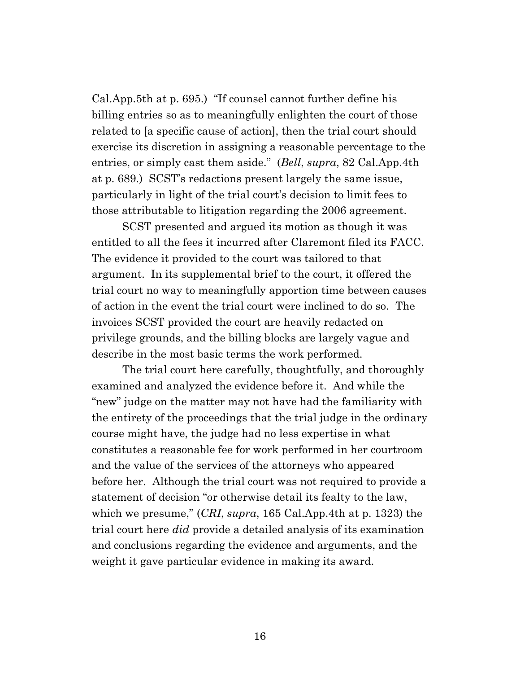Cal.App.5th at p. 695.) "If counsel cannot further define his billing entries so as to meaningfully enlighten the court of those related to [a specific cause of action], then the trial court should exercise its discretion in assigning a reasonable percentage to the entries, or simply cast them aside." (*Bell*, *supra*, 82 Cal.App.4th at p. 689.) SCST's redactions present largely the same issue, particularly in light of the trial court's decision to limit fees to those attributable to litigation regarding the 2006 agreement.

SCST presented and argued its motion as though it was entitled to all the fees it incurred after Claremont filed its FACC. The evidence it provided to the court was tailored to that argument. In its supplemental brief to the court, it offered the trial court no way to meaningfully apportion time between causes of action in the event the trial court were inclined to do so. The invoices SCST provided the court are heavily redacted on privilege grounds, and the billing blocks are largely vague and describe in the most basic terms the work performed.

The trial court here carefully, thoughtfully, and thoroughly examined and analyzed the evidence before it. And while the "new" judge on the matter may not have had the familiarity with the entirety of the proceedings that the trial judge in the ordinary course might have, the judge had no less expertise in what constitutes a reasonable fee for work performed in her courtroom and the value of the services of the attorneys who appeared before her. Although the trial court was not required to provide a statement of decision "or otherwise detail its fealty to the law, which we presume," (*CRI*, *supra*, 165 Cal.App.4th at p. 1323) the trial court here *did* provide a detailed analysis of its examination and conclusions regarding the evidence and arguments, and the weight it gave particular evidence in making its award.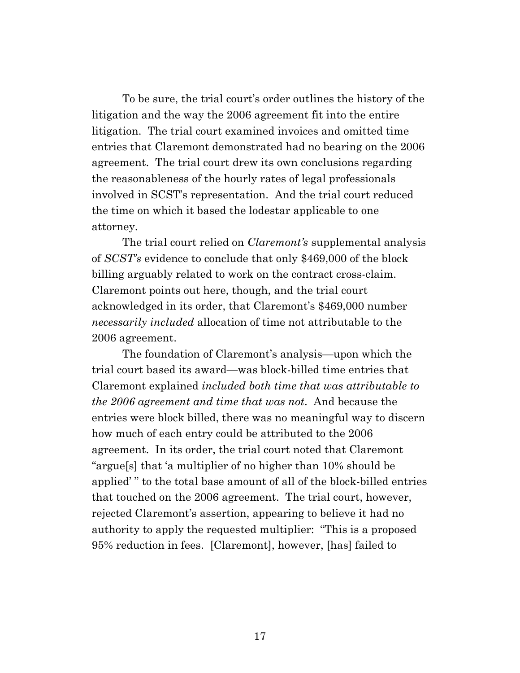To be sure, the trial court's order outlines the history of the litigation and the way the 2006 agreement fit into the entire litigation. The trial court examined invoices and omitted time entries that Claremont demonstrated had no bearing on the 2006 agreement. The trial court drew its own conclusions regarding the reasonableness of the hourly rates of legal professionals involved in SCST's representation. And the trial court reduced the time on which it based the lodestar applicable to one attorney.

The trial court relied on *Claremont's* supplemental analysis of *SCST's* evidence to conclude that only \$469,000 of the block billing arguably related to work on the contract cross-claim. Claremont points out here, though, and the trial court acknowledged in its order, that Claremont's \$469,000 number *necessarily included* allocation of time not attributable to the 2006 agreement.

The foundation of Claremont's analysis—upon which the trial court based its award—was block-billed time entries that Claremont explained *included both time that was attributable to the 2006 agreement and time that was not*. And because the entries were block billed, there was no meaningful way to discern how much of each entry could be attributed to the 2006 agreement. In its order, the trial court noted that Claremont "argue[s] that 'a multiplier of no higher than 10% should be applied' " to the total base amount of all of the block-billed entries that touched on the 2006 agreement. The trial court, however, rejected Claremont's assertion, appearing to believe it had no authority to apply the requested multiplier: "This is a proposed 95% reduction in fees. [Claremont], however, [has] failed to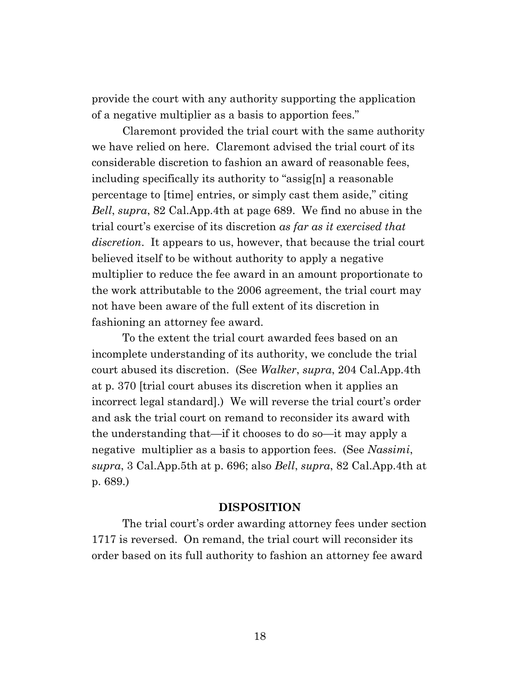provide the court with any authority supporting the application of a negative multiplier as a basis to apportion fees."

Claremont provided the trial court with the same authority we have relied on here. Claremont advised the trial court of its considerable discretion to fashion an award of reasonable fees, including specifically its authority to "assig[n] a reasonable percentage to [time] entries, or simply cast them aside," citing *Bell*, *supra*, 82 Cal.App.4th at page 689. We find no abuse in the trial court's exercise of its discretion *as far as it exercised that discretion*. It appears to us, however, that because the trial court believed itself to be without authority to apply a negative multiplier to reduce the fee award in an amount proportionate to the work attributable to the 2006 agreement, the trial court may not have been aware of the full extent of its discretion in fashioning an attorney fee award.

To the extent the trial court awarded fees based on an incomplete understanding of its authority, we conclude the trial court abused its discretion. (See *Walker*, *supra*, 204 Cal.App.4th at p. 370 [trial court abuses its discretion when it applies an incorrect legal standard].) We will reverse the trial court's order and ask the trial court on remand to reconsider its award with the understanding that—if it chooses to do so—it may apply a negative multiplier as a basis to apportion fees. (See *Nassimi*, *supra*, 3 Cal.App.5th at p. 696; also *Bell*, *supra*, 82 Cal.App.4th at p. 689.)

#### **DISPOSITION**

The trial court's order awarding attorney fees under section 1717 is reversed. On remand, the trial court will reconsider its order based on its full authority to fashion an attorney fee award